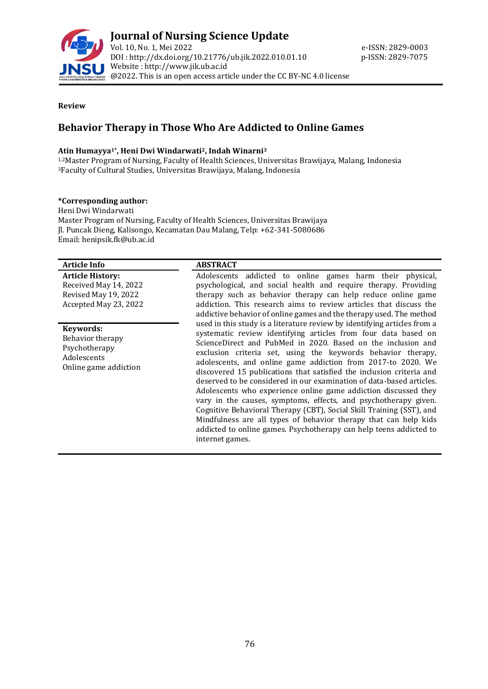

#### **Review**

# **Behavior Therapy in Those Who Are Addicted to Online Games**

#### **Atin Humayya1\* , Heni Dwi Windarwati2, Indah Winarni<sup>3</sup>**

1,2Master Program of Nursing, Faculty of Health Sciences, Universitas Brawijaya, Malang, Indonesia <sup>3</sup>Faculty of Cultural Studies, Universitas Brawijaya, Malang, Indonesia

#### **\*Corresponding author:**

Heni Dwi Windarwati Master Program of Nursing, Faculty of Health Sciences, Universitas Brawijaya Jl. Puncak Dieng, Kalisongo, Kecamatan Dau Malang, Telp: +62-341-5080686 Email[: henipsik.fk@ub.ac.id](mailto:henipsik.fk@ub.ac.id)

| <b>Article Info</b>                                                                               | <b>ABSTRACT</b>                                                                                                                                                                                                                                                                                                                                                                                                                                                                                                                                                                                                                                                                                                                                                                                                                                                                                                                                                                                                                                                                                                                                                                                                   |
|---------------------------------------------------------------------------------------------------|-------------------------------------------------------------------------------------------------------------------------------------------------------------------------------------------------------------------------------------------------------------------------------------------------------------------------------------------------------------------------------------------------------------------------------------------------------------------------------------------------------------------------------------------------------------------------------------------------------------------------------------------------------------------------------------------------------------------------------------------------------------------------------------------------------------------------------------------------------------------------------------------------------------------------------------------------------------------------------------------------------------------------------------------------------------------------------------------------------------------------------------------------------------------------------------------------------------------|
| <b>Article History:</b><br>Received May 14, 2022<br>Revised May 19, 2022<br>Accepted May 23, 2022 | Adolescents addicted to online games harm their physical,<br>psychological, and social health and require therapy. Providing<br>therapy such as behavior therapy can help reduce online game<br>addiction. This research aims to review articles that discuss the<br>addictive behavior of online games and the therapy used. The method<br>used in this study is a literature review by identifying articles from a<br>systematic review identifying articles from four data based on<br>ScienceDirect and PubMed in 2020. Based on the inclusion and<br>exclusion criteria set, using the keywords behavior therapy,<br>adolescents, and online game addiction from 2017-to 2020. We<br>discovered 15 publications that satisfied the inclusion criteria and<br>deserved to be considered in our examination of data-based articles.<br>Adolescents who experience online game addiction discussed they<br>vary in the causes, symptoms, effects, and psychotherapy given.<br>Cognitive Behavioral Therapy (CBT), Social Skill Training (SST), and<br>Mindfulness are all types of behavior therapy that can help kids<br>addicted to online games. Psychotherapy can help teens addicted to<br>internet games. |
| Keywords:<br>Behavior therapy<br>Psychotherapy<br>Adolescents<br>Online game addiction            |                                                                                                                                                                                                                                                                                                                                                                                                                                                                                                                                                                                                                                                                                                                                                                                                                                                                                                                                                                                                                                                                                                                                                                                                                   |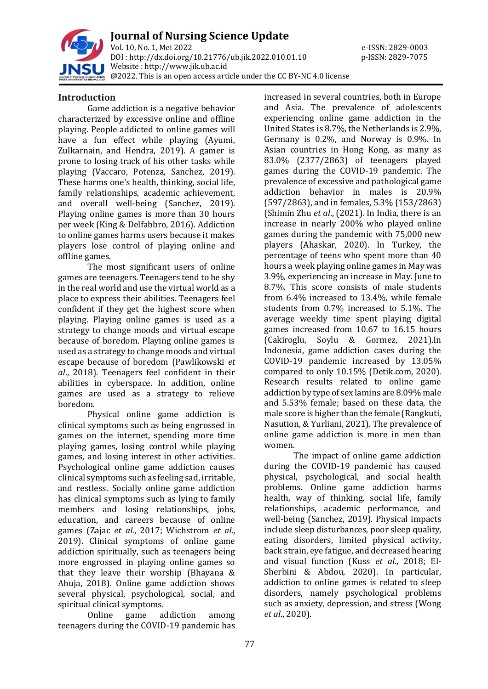

**Journal of Nursing Science Update** Vol. 10, No. 1, Mei 2022 e-ISSN: 2829-0003 DOI : [http://dx.doi.org/10.21776/ub.jik.2022.010.01.1](http://dx.doi.org/10.21776/ub.jik.2022.010.01)0 p-ISSN: 2829-7075 Website : http:/[/www.jik.ub.ac.id](http://www.jik.ub.ac.id/) @2022. This is an open access article under the CC BY-NC 4.0 license

#### **Introduction**

Game addiction is a negative behavior characterized by excessive online and offline playing. People addicted to online games will have a fun effect while playing (Ayumi, Zulkarnain, and Hendra, 2019). A gamer is prone to losing track of his other tasks while playing (Vaccaro, Potenza, Sanchez, 2019). These harms one's health, thinking, social life, family relationships, academic achievement, and overall well-being (Sanchez, 2019). Playing online games is more than 30 hours per week (King & Delfabbro, 2016). Addiction to online games harms users because it makes players lose control of playing online and offline games.

The most significant users of online games are teenagers. Teenagers tend to be shy in the real world and use the virtual world as a place to express their abilities. Teenagers feel confident if they get the highest score when playing. Playing online games is used as a strategy to change moods and virtual escape because of boredom. Playing online games is used as a strategy to change moods and virtual escape because of boredom (Pawlikowski *et al*., 2018). Teenagers feel confident in their abilities in cyberspace. In addition, online games are used as a strategy to relieve boredom.

Physical online game addiction is clinical symptoms such as being engrossed in games on the internet, spending more time playing games, losing control while playing games, and losing interest in other activities. Psychological online game addiction causes clinical symptoms such as feeling sad, irritable, and restless. Socially online game addiction has clinical symptoms such as lying to family members and losing relationships, jobs, education, and careers because of online games (Zajac *et al*., 2017; Wichstrom *et al*., 2019). Clinical symptoms of online game addiction spiritually, such as teenagers being more engrossed in playing online games so that they leave their worship (Bhayana & Ahuja, 2018). Online game addiction shows several physical, psychological, social, and spiritual clinical symptoms.

Online game addiction among teenagers during the COVID-19 pandemic has

increased in several countries, both in Europe and Asia. The prevalence of adolescents experiencing online game addiction in the United States is 8.7%, the Netherlands is 2.9%, Germany is 0.2%, and Norway is 0.9%. In Asian countries in Hong Kong, as many as 83.0% (2377/2863) of teenagers played games during the COVID-19 pandemic. The prevalence of excessive and pathological game addiction behavior in males is 20.9% (597/2863), and in females, 5.3% (153/2863) (Shimin Zhu *et al*., (2021). In India, there is an increase in nearly 200% who played online games during the pandemic with 75,000 new players (Ahaskar, 2020). In Turkey, the percentage of teens who spent more than 40 hours a week playing online games in May was 3.9%, experiencing an increase in May. June to 8.7%. This score consists of male students from 6.4% increased to 13.4%, while female students from 0.7% increased to 5.1%. The average weekly time spent playing digital games increased from 10.67 to 16.15 hours (Cakiroglu, Soylu & Gormez, 2021).In Indonesia, game addiction cases during the COVID-19 pandemic increased by 13.05% compared to only 10.15% (Detik.com, 2020). Research results related to online game addiction by type of sex lamins are 8.09% male and 5.53% female; based on these data, the male score is higher than the female (Rangkuti, Nasution, & Yurliani, 2021). The prevalence of online game addiction is more in men than women.

The impact of online game addiction during the COVID-19 pandemic has caused physical, psychological, and social health problems. Online game addiction harms health, way of thinking, social life, family relationships, academic performance, and well-being (Sanchez, 2019). Physical impacts include sleep disturbances, poor sleep quality, eating disorders, limited physical activity, back strain, eye fatigue, and decreased hearing and visual function (Kuss *et al*., 2018; El-Sherbini & Abdou, 2020). In particular, addiction to online games is related to sleep disorders, namely psychological problems such as anxiety, depression, and stress (Wong *et al*., 2020).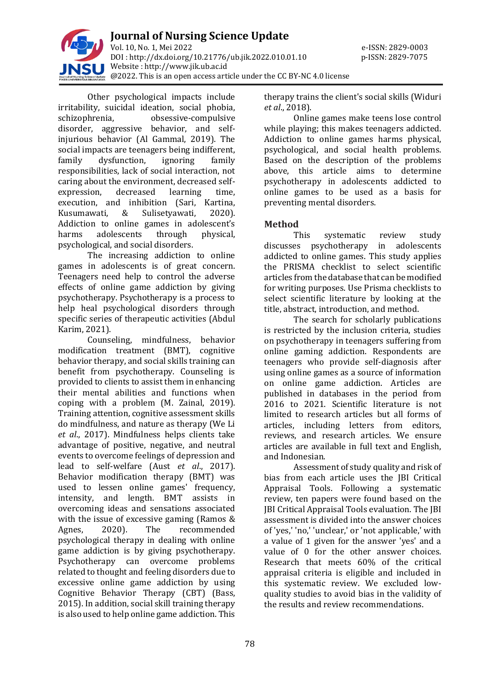

Other psychological impacts include irritability, suicidal ideation, social phobia, schizophrenia, obsessive-compulsive disorder, aggressive behavior, and selfinjurious behavior (Al Gammal, 2019). The social impacts are teenagers being indifferent, family dysfunction, ignoring family responsibilities, lack of social interaction, not caring about the environment, decreased selfexpression, decreased learning time, execution, and inhibition (Sari, Kartina, Kusumawati, & Sulisetyawati, 2020). Addiction to online games in adolescent's harms adolescents through physical, psychological, and social disorders.

The increasing addiction to online games in adolescents is of great concern. Teenagers need help to control the adverse effects of online game addiction by giving psychotherapy. Psychotherapy is a process to help heal psychological disorders through specific series of therapeutic activities (Abdul Karim, 2021).

Counseling, mindfulness, behavior modification treatment (BMT), cognitive behavior therapy, and social skills training can benefit from psychotherapy. Counseling is provided to clients to assist them in enhancing their mental abilities and functions when coping with a problem (M. Zainal, 2019). Training attention, cognitive assessment skills do mindfulness, and nature as therapy (We Li *et al*., 2017). Mindfulness helps clients take advantage of positive, negative, and neutral events to overcome feelings of depression and lead to self-welfare (Aust *et al*., 2017). Behavior modification therapy (BMT) was used to lessen online games' frequency, intensity, and length. BMT assists in overcoming ideas and sensations associated with the issue of excessive gaming (Ramos & Agnes, 2020). The recommended psychological therapy in dealing with online game addiction is by giving psychotherapy. Psychotherapy can overcome problems related to thought and feeling disorders due to excessive online game addiction by using Cognitive Behavior Therapy (CBT) (Bass, 2015). In addition, social skill training therapy is also used to help online game addiction. This

therapy trains the client's social skills (Widuri *et al*., 2018).

Online games make teens lose control while playing; this makes teenagers addicted. Addiction to online games harms physical, psychological, and social health problems. Based on the description of the problems above, this article aims to determine psychotherapy in adolescents addicted to online games to be used as a basis for preventing mental disorders.

## **Method**

This systematic review study discusses psychotherapy in adolescents addicted to online games. This study applies the PRISMA checklist to select scientific articles from the database that can be modified for writing purposes. Use Prisma checklists to select scientific literature by looking at the title, abstract, introduction, and method.

The search for scholarly publications is restricted by the inclusion criteria, studies on psychotherapy in teenagers suffering from online gaming addiction. Respondents are teenagers who provide self-diagnosis after using online games as a source of information on online game addiction. Articles are published in databases in the period from 2016 to 2021. Scientific literature is not limited to research articles but all forms of articles, including letters from editors, reviews, and research articles. We ensure articles are available in full text and English, and Indonesian.

Assessment of study quality and risk of bias from each article uses the JBI Critical Appraisal Tools. Following a systematic review, ten papers were found based on the JBI Critical Appraisal Tools evaluation. The JBI assessment is divided into the answer choices of 'yes,' 'no,' 'unclear,' or 'not applicable,' with a value of 1 given for the answer 'yes' and a value of 0 for the other answer choices. Research that meets 60% of the critical appraisal criteria is eligible and included in this systematic review. We excluded lowquality studies to avoid bias in the validity of the results and review recommendations.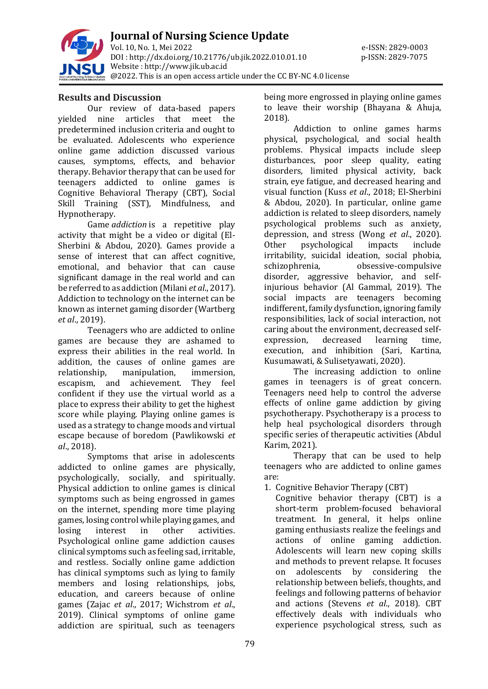

**Journal of Nursing Science Update** Vol. 10, No. 1, Mei 2022 e-ISSN: 2829-0003 DOI : [http://dx.doi.org/10.21776/ub.jik.2022.010.01.1](http://dx.doi.org/10.21776/ub.jik.2022.010.01)0 p-ISSN: 2829-7075 Website : http:/[/www.jik.ub.ac.id](http://www.jik.ub.ac.id/) @2022. This is an open access article under the CC BY-NC 4.0 license

### **Results and Discussion**

Our review of data-based papers yielded nine articles that meet the predetermined inclusion criteria and ought to be evaluated. Adolescents who experience online game addiction discussed various causes, symptoms, effects, and behavior therapy. Behavior therapy that can be used for teenagers addicted to online games is Cognitive Behavioral Therapy (CBT), Social Skill Training (SST), Mindfulness, and Hypnotherapy.

Game *addiction* is a repetitive play activity that might be a video or digital (El-Sherbini & Abdou, 2020). Games provide a sense of interest that can affect cognitive, emotional, and behavior that can cause significant damage in the real world and can be referred to as addiction (Milani *et al*., 2017). Addiction to technology on the internet can be known as internet gaming disorder (Wartberg *et al*., 2019).

Teenagers who are addicted to online games are because they are ashamed to express their abilities in the real world. In addition, the causes of online games are relationship, manipulation, immersion, escapism, and achievement. They feel confident if they use the virtual world as a place to express their ability to get the highest score while playing. Playing online games is used as a strategy to change moods and virtual escape because of boredom (Pawlikowski *et al*., 2018).

Symptoms that arise in adolescents addicted to online games are physically, psychologically, socially, and spiritually. Physical addiction to online games is clinical symptoms such as being engrossed in games on the internet, spending more time playing games, losing control while playing games, and losing interest in other activities. Psychological online game addiction causes clinical symptoms such as feeling sad, irritable, and restless. Socially online game addiction has clinical symptoms such as lying to family members and losing relationships, jobs, education, and careers because of online games (Zajac *et al*., 2017; Wichstrom *et al*., 2019). Clinical symptoms of online game addiction are spiritual, such as teenagers

being more engrossed in playing online games to leave their worship (Bhayana & Ahuja, 2018).

Addiction to online games harms physical, psychological, and social health problems. Physical impacts include sleep disturbances, poor sleep quality, eating disorders, limited physical activity, back strain, eye fatigue, and decreased hearing and visual function (Kuss *et al*., 2018; El-Sherbini & Abdou, 2020). In particular, online game addiction is related to sleep disorders, namely psychological problems such as anxiety, depression, and stress (Wong *et al*., 2020). Other psychological impacts include irritability, suicidal ideation, social phobia, schizophrenia, obsessive-compulsive disorder, aggressive behavior, and selfinjurious behavior (Al Gammal, 2019). The social impacts are teenagers becoming indifferent, family dysfunction, ignoring family responsibilities, lack of social interaction, not caring about the environment, decreased selfexpression, decreased learning time, execution, and inhibition (Sari, Kartina, Kusumawati, & Sulisetyawati, 2020).

The increasing addiction to online games in teenagers is of great concern. Teenagers need help to control the adverse effects of online game addiction by giving psychotherapy. Psychotherapy is a process to help heal psychological disorders through specific series of therapeutic activities (Abdul Karim, 2021).

Therapy that can be used to help teenagers who are addicted to online games are:

1. Cognitive Behavior Therapy (CBT)

Cognitive behavior therapy (CBT) is a short-term problem-focused behavioral treatment. In general, it helps online gaming enthusiasts realize the feelings and actions of online gaming addiction. Adolescents will learn new coping skills and methods to prevent relapse. It focuses on adolescents by considering the relationship between beliefs, thoughts, and feelings and following patterns of behavior and actions (Stevens *et al*., 2018). CBT effectively deals with individuals who experience psychological stress, such as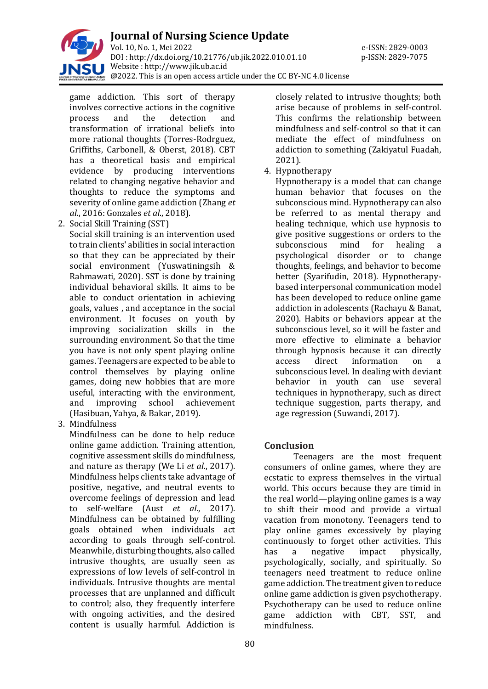

game addiction. This sort of therapy involves corrective actions in the cognitive process and the detection and transformation of irrational beliefs into more rational thoughts (Torres-Rodrguez, Griffiths, Carbonell, & Oberst, 2018). CBT has a theoretical basis and empirical evidence by producing interventions related to changing negative behavior and thoughts to reduce the symptoms and severity of online game addiction (Zhang *et al*., 2016: Gonzales *et al*., 2018).

2. Social Skill Training (SST)

Social skill training is an intervention used to train clients' abilities in social interaction so that they can be appreciated by their social environment (Yuswatiningsih & Rahmawati, 2020). SST is done by training individual behavioral skills. It aims to be able to conduct orientation in achieving goals, values , and acceptance in the social environment. It focuses on youth by improving socialization skills in the surrounding environment. So that the time you have is not only spent playing online games. Teenagers are expected to be able to control themselves by playing online games, doing new hobbies that are more useful, interacting with the environment, and improving school achievement (Hasibuan, Yahya, & Bakar, 2019).

3. Mindfulness

Mindfulness can be done to help reduce online game addiction. Training attention, cognitive assessment skills do mindfulness, and nature as therapy (We Li *et al*., 2017). Mindfulness helps clients take advantage of positive, negative, and neutral events to overcome feelings of depression and lead to self-welfare (Aust *et al*., 2017). Mindfulness can be obtained by fulfilling goals obtained when individuals act according to goals through self-control. Meanwhile, disturbing thoughts, also called intrusive thoughts, are usually seen as expressions of low levels of self-control in individuals. Intrusive thoughts are mental processes that are unplanned and difficult to control; also, they frequently interfere with ongoing activities, and the desired content is usually harmful. Addiction is

closely related to intrusive thoughts; both arise because of problems in self-control. This confirms the relationship between mindfulness and self-control so that it can mediate the effect of mindfulness on addiction to something (Zakiyatul Fuadah, 2021).

4. Hypnotherapy

Hypnotherapy is a model that can change human behavior that focuses on the subconscious mind. Hypnotherapy can also be referred to as mental therapy and healing technique, which use hypnosis to give positive suggestions or orders to the subconscious mind for healing a psychological disorder or to change thoughts, feelings, and behavior to become better (Syarifudin, 2018). Hypnotherapybased interpersonal communication model has been developed to reduce online game addiction in adolescents (Rachayu & Banat, 2020). Habits or behaviors appear at the subconscious level, so it will be faster and more effective to eliminate a behavior through hypnosis because it can directly access direct information on a subconscious level. In dealing with deviant behavior in youth can use several techniques in hypnotherapy, such as direct technique suggestion, parts therapy, and age regression (Suwandi, 2017).

## **Conclusion**

Teenagers are the most frequent consumers of online games, where they are ecstatic to express themselves in the virtual world. This occurs because they are timid in the real world—playing online games is a way to shift their mood and provide a virtual vacation from monotony. Teenagers tend to play online games excessively by playing continuously to forget other activities. This has a negative impact physically, psychologically, socially, and spiritually. So teenagers need treatment to reduce online game addiction. The treatment given to reduce online game addiction is given psychotherapy. Psychotherapy can be used to reduce online game addiction with CBT, SST, and mindfulness.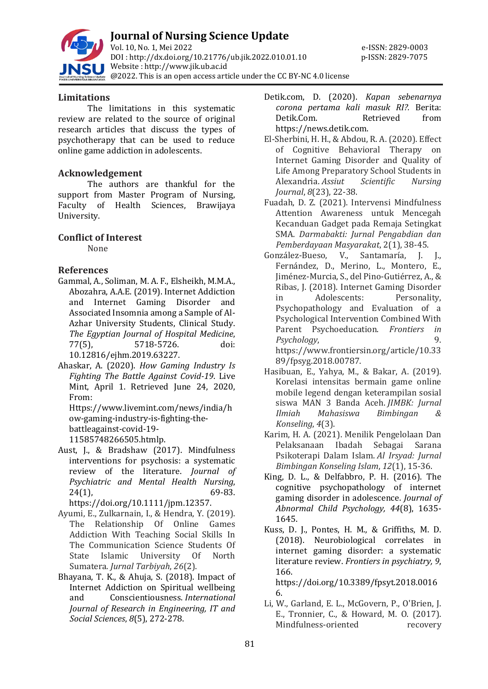

### **Limitations**

The limitations in this systematic review are related to the source of original research articles that discuss the types of psychotherapy that can be used to reduce online game addiction in adolescents.

## **Acknowledgement**

The authors are thankful for the support from Master Program of Nursing, Faculty of Health Sciences, Brawijaya University.

## **Conflict of Interest**

None

### **References**

Gammal, A., Soliman, M. A. F., Elsheikh, M.M.A., Abozahra, A.A.E. (2019). Internet Addiction and Internet Gaming Disorder and Associated Insomnia among a Sample of Al-Azhar University Students, Clinical Study. *The Egyptian Journal of Hospital Medicine*, 77(5), 5718-5726. doi: 10.12816/ejhm.2019.63227.

Ahaskar, A. (2020). *How Gaming Industry Is Fighting The Battle Against Covid-19*. Live Mint, April 1. Retrieved June 24, 2020, From:

[Https://www.livemint.com/news/india/h](https://www.livemint.com/news/india/how-gaming-industry-is-fighting-the-battleagainst-covid-19-11585748266505.htmlp) [ow-gaming-industry-is-fighting-the](https://www.livemint.com/news/india/how-gaming-industry-is-fighting-the-battleagainst-covid-19-11585748266505.htmlp)[battleagainst-covid-19-](https://www.livemint.com/news/india/how-gaming-industry-is-fighting-the-battleagainst-covid-19-11585748266505.htmlp) [11585748266505.htmlp.](https://www.livemint.com/news/india/how-gaming-industry-is-fighting-the-battleagainst-covid-19-11585748266505.htmlp)

- Aust, J., & Bradshaw (2017). Mindfulness interventions for psychosis: a systematic review of the literature. *Journal of Psychiatric and Mental Health Nursing*, 24(1), 69-83. [https://doi.org/10.1111/jpm.12357.](https://doi.org/10.1111/jpm.12357)
- Ayumi, E., Zulkarnain, I., & Hendra, Y. (2019). The Relationship Of Online Games Addiction With Teaching Social Skills In The Communication Science Students Of State Islamic University Of North Sumatera. *Jurnal Tarbiyah*, *26*(2).
- Bhayana, T. K., & Ahuja, S. (2018). Impact of Internet Addiction on Spiritual wellbeing and Conscientiousness. *International Journal of Research in Engineering, IT and Social Sciences*, *8*(5), 272-278.
- Detik.com, D. (2020). *Kapan sebenarnya corona pertama kali masuk RI?.* Berita: Detik.Com. Retrieved from https://news.detik.com.
- El-Sherbini, H. H., & Abdou, R. A. (2020). Effect of Cognitive Behavioral Therapy on Internet Gaming Disorder and Quality of Life Among Preparatory School Students in Alexandria. *Assiut Scientific Nursing Journal*, *8*(23), 22-38.
- Fuadah, D. Z. (2021). Intervensi Mindfulness Attention Awareness untuk Mencegah Kecanduan Gadget pada Remaja Setingkat SMA. *Darmabakti: Jurnal Pengabdian dan Pemberdayaan Masyarakat*, 2(1), 38-45.
- González-Bueso, V., Santamaría, J. J., Fernández, D., Merino, L., Montero, E., Jiménez-Murcia, S., del Pino-Gutiérrez, A., & Ribas, J. (2018). Internet Gaming Disorder in Adolescents: Personality, Psychopathology and Evaluation of a Psychological Intervention Combined With Parent Psychoeducation. *Frontiers in Psychology*, 9. https://www.frontiersin.org/article/10.33 89/fpsyg.2018.00787.
- Hasibuan, E., Yahya, M., & Bakar, A. (2019). Korelasi intensitas bermain game online mobile legend dengan keterampilan sosial siswa MAN 3 Banda Aceh. *JIMBK: Jurnal Ilmiah Mahasiswa Bimbingan & Konseling*, *4*(3).
- Karim, H. A. (2021). Menilik Pengelolaan Dan Pelaksanaan Ibadah Sebagai Sarana Psikoterapi Dalam Islam. *Al Irsyad: Jurnal Bimbingan Konseling Islam*, *12*(1), 15-36.
- King, D. L., & Delfabbro, P. H. (2016). The cognitive psychopathology of internet gaming disorder in adolescence. *Journal of Abnormal Child Psychology, 44*(8), 1635- 1645.
- Kuss, D. J., Pontes, H. M., & Griffiths, M. D. (2018). Neurobiological correlates in internet gaming disorder: a systematic literature review. *Frontiers in psychiatry, 9*, 166.

[https://doi.org/10.3389/fpsyt.2018.0016](https://doi.org/10.3389/fpsyt.2018.00166) [6.](https://doi.org/10.3389/fpsyt.2018.00166)

Li, W., Garland, E. L., McGovern, P., O'Brien, J. E., Tronnier, C., & Howard, M. O. (2017). Mindfulness-oriented recovery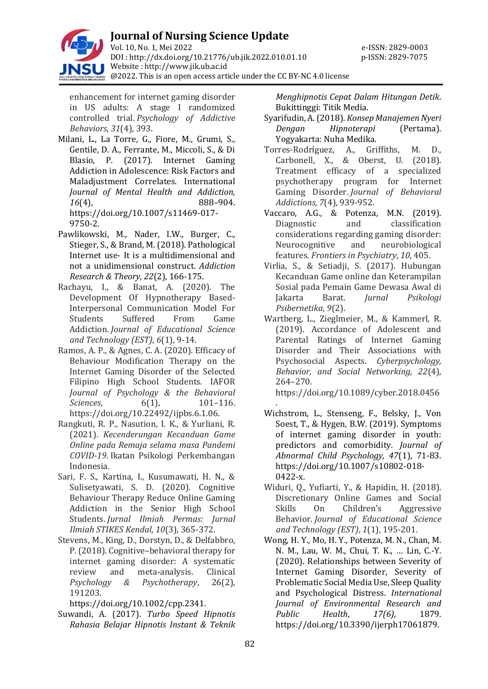

enhancement for internet gaming disorder in US adults: A stage I randomized controlled trial. *Psychology of Addictive Behaviors*, *31*(4), 393.

- Milani, L., La Torre, G., Fiore, M., Grumi, S., Gentile, D. A., Ferrante, M., Miccoli, S., & Di Blasio, P. (2017). Internet Gaming Addiction in Adolescence: Risk Factors and Maladjustment Correlates. International *Journal of Mental Health and Addiction, 16*(4), 888–904. https://doi.org/10.1007/s11469-017- 9750-2.
- Pawlikowski, M., Nader, I.W., Burger, C., Stieger, S., & Brand, M. (2018). Pathological Internet use- It is a multidimensional and not a unidimensional construct. *Addiction Research & Theory*, *22*(2), 166-175.
- Rachayu, I., & Banat, A. (2020). The Development Of Hypnotherapy Based-Interpersonal Communication Model For Students Suffered From Game Addiction. *Journal of Educational Science and Technology (EST)*, *6*(1), 9-14.
- Ramos, A. P., & Agnes, C. A. (2020). Efficacy of Behaviour Modification Therapy on the Internet Gaming Disorder of the Selected Filipino High School Students. IAFOR *Journal of Psychology & the Behavioral Sciences*, 6(1), 101-116. https://doi.org/10.22492/ijpbs.6.1.06.
- Rangkuti, R. P., Nasution, I. K., & Yurliani, R. (2021). *Kecenderungan Kecanduan Game Online pada Remaja selama masa Pandemi COVID-19*. Ikatan Psikologi Perkembangan Indonesia.
- Sari, F. S., Kartina, I., Kusumawati, H. N., & Sulisetyawati, S. D. (2020). Cognitive Behaviour Therapy Reduce Online Gaming Addiction in the Senior High School Students. *Jurnal Ilmiah Permas: Jurnal Ilmiah STIKES Kendal*, *10*(3), 365-372.
- Stevens, M., King, D., Dorstyn, D., & Delfabbro, P. (2018). Cognitive–behavioral therapy for internet gaming disorder: A systematic review and meta‐analysis. Clinical *Psychology & Psychotherapy*, 26(2), 191203.

[https://doi.org/10.1002/cpp.2341.](https://doi.org/10.1002/cpp.2341)

Suwandi, A. (2017). *Turbo Speed Hipnotis Rahasia Belajar Hipnotis Instant & Teknik*  *Menghipnotis Cepat Dalam Hitungan Detik*. Bukittinggi: Titik Media.

- Syarifudin, A. (2018). *Konsep Manajemen Nyeri Dengan Hipnoterapi* (Pertama). Yogyakarta: Nuha Medika.
- Torres-Rodríguez, A., Griffiths, M. D., Carbonell, X., & Oberst, U. (2018). Treatment efficacy of a specialized psychotherapy program for Internet Gaming Disorder. *Journal of Behavioral Addictions*, *7*(4), 939-952.
- Vaccaro, A.G., & Potenza, M.N. (2019). Diagnostic and classification considerations regarding gaming disorder: Neurocognitive and neurobiological features. *Frontiers in Psychiatry*, *10*, 405.
- Virlia, S., & Setiadji, S. (2017). Hubungan Kecanduan Game online dan Keterampilan Sosial pada Pemain Game Dewasa Awal di Jakarta Barat. *Jurnal Psikologi Psibernetika*, *9*(2).
- Wartberg, L., Zieglmeier, M., & Kammerl, R. (2019). Accordance of Adolescent and Parental Ratings of Internet Gaming Disorder and Their Associations with Psychosocial Aspects. *Cyberpsychology, Behavior, and Social Networking, 22*(4), 264–270.

https://doi.org/10.1089/cyber.2018.0456

- . Wichstrom, L., Stenseng, F., Belsky, J., Von Soest, T., & Hygen, B.W. (2019). Symptoms of internet gaming disorder in youth: predictors and comorbidity. *Journal of Abnormal Child Psychology, 47*(1), 71-83. [https://doi.org/10.1007/s10802-018-](https://doi.org/10.1007/s10802-018-0422-x) [0422-x.](https://doi.org/10.1007/s10802-018-0422-x)
- Widuri, Q., Yufiarti, Y., & Hapidin, H. (2018). Discretionary Online Games and Social Skills On Children's Aggressive Behavior. *Journal of Educational Science and Technology (EST)*, *1*(1), 195-201.
- Wong, H. Y., Mo, H. Y., Potenza, M. N., Chan, M. N. M., Lau, W. M., Chui, T. K., … Lin, C.-Y. (2020). Relationships between Severity of Internet Gaming Disorder, Severity of Problematic Social Media Use, Sleep Quality and Psychological Distress. *International Journal of Environmental Research and Public Health*, *17(6),* 1879. https://doi.org/10.3390/ijerph17061879.